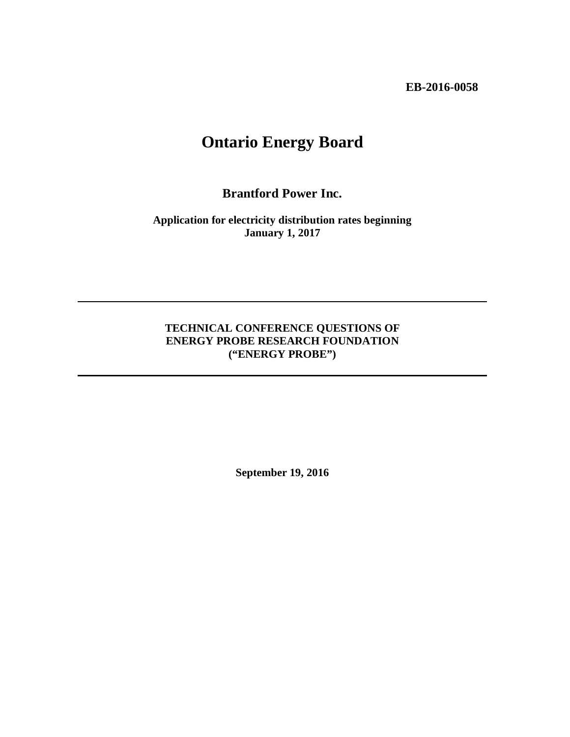**EB-2016-0058**

# **Ontario Energy Board**

**Brantford Power Inc.**

**Application for electricity distribution rates beginning January 1, 2017**

## **TECHNICAL CONFERENCE QUESTIONS OF ENERGY PROBE RESEARCH FOUNDATION ("ENERGY PROBE")**

**September 19, 2016**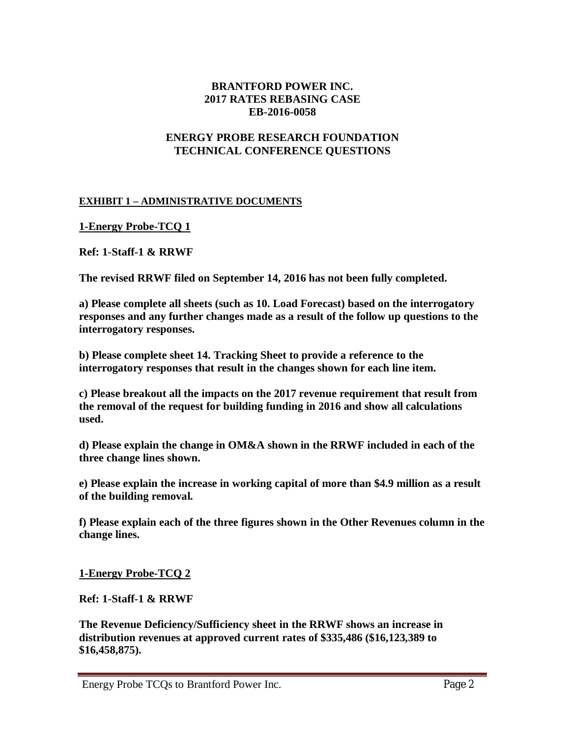### **BRANTFORD POWER INC. 2017 RATES REBASING CASE EB-2016-0058**

### **ENERGY PROBE RESEARCH FOUNDATION TECHNICAL CONFERENCE QUESTIONS**

#### **EXHIBIT 1 – ADMINISTRATIVE DOCUMENTS**

**1-Energy Probe-TCQ 1**

**Ref: 1-Staff-1 & RRWF**

**The revised RRWF filed on September 14, 2016 has not been fully completed.**

**a) Please complete all sheets (such as 10. Load Forecast) based on the interrogatory responses and any further changes made as a result of the follow up questions to the interrogatory responses.**

**b) Please complete sheet 14. Tracking Sheet to provide a reference to the interrogatory responses that result in the changes shown for each line item.**

**c) Please breakout all the impacts on the 2017 revenue requirement that result from the removal of the request for building funding in 2016 and show all calculations used.**

**d) Please explain the change in OM&A shown in the RRWF included in each of the three change lines shown.**

**e) Please explain the increase in working capital of more than \$4.9 million as a result of the building removal.**

**f) Please explain each of the three figures shown in the Other Revenues column in the change lines.**

**1-Energy Probe-TCQ 2**

**Ref: 1-Staff-1 & RRWF**

**The Revenue Deficiency/Sufficiency sheet in the RRWF shows an increase in distribution revenues at approved current rates of \$335,486 (\$16,123,389 to \$16,458,875).**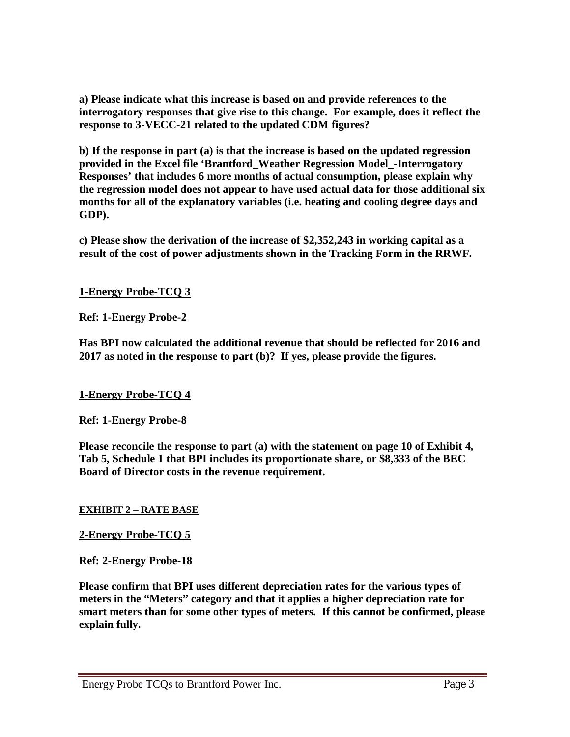**a) Please indicate what this increase is based on and provide references to the interrogatory responses that give rise to this change. For example, does it reflect the response to 3-VECC-21 related to the updated CDM figures?**

**b) If the response in part (a) is that the increase is based on the updated regression provided in the Excel file 'Brantford\_Weather Regression Model\_-Interrogatory Responses' that includes 6 more months of actual consumption, please explain why the regression model does not appear to have used actual data for those additional six months for all of the explanatory variables (i.e. heating and cooling degree days and GDP).**

**c) Please show the derivation of the increase of \$2,352,243 in working capital as a result of the cost of power adjustments shown in the Tracking Form in the RRWF.**

**1-Energy Probe-TCQ 3**

**Ref: 1-Energy Probe-2**

**Has BPI now calculated the additional revenue that should be reflected for 2016 and 2017 as noted in the response to part (b)? If yes, please provide the figures.**

## **1-Energy Probe-TCQ 4**

**Ref: 1-Energy Probe-8**

**Please reconcile the response to part (a) with the statement on page 10 of Exhibit 4, Tab 5, Schedule 1 that BPI includes its proportionate share, or \$8,333 of the BEC Board of Director costs in the revenue requirement.**

## **EXHIBIT 2 – RATE BASE**

### **2-Energy Probe-TCQ 5**

**Ref: 2-Energy Probe-18**

**Please confirm that BPI uses different depreciation rates for the various types of meters in the "Meters" category and that it applies a higher depreciation rate for smart meters than for some other types of meters. If this cannot be confirmed, please explain fully.**

#### Energy Probe TCQs to Brantford Power Inc. Page 3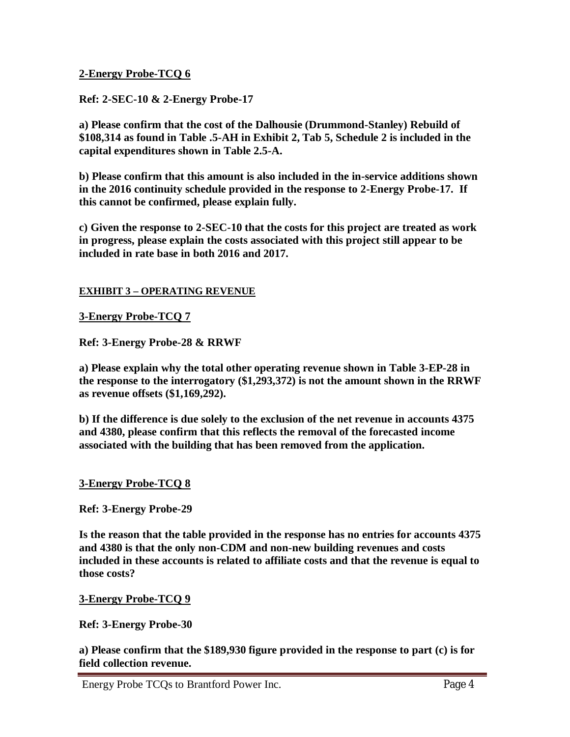## **2-Energy Probe-TCQ 6**

## **Ref: 2-SEC-10 & 2-Energy Probe-17**

**a) Please confirm that the cost of the Dalhousie (Drummond-Stanley) Rebuild of \$108,314 as found in Table .5-AH in Exhibit 2, Tab 5, Schedule 2 is included in the capital expenditures shown in Table 2.5-A.**

**b) Please confirm that this amount is also included in the in-service additions shown in the 2016 continuity schedule provided in the response to 2-Energy Probe-17. If this cannot be confirmed, please explain fully.**

**c) Given the response to 2-SEC-10 that the costs for this project are treated as work in progress, please explain the costs associated with this project still appear to be included in rate base in both 2016 and 2017.**

### **EXHIBIT 3 – OPERATING REVENUE**

### **3-Energy Probe-TCQ 7**

**Ref: 3-Energy Probe-28 & RRWF**

**a) Please explain why the total other operating revenue shown in Table 3-EP-28 in the response to the interrogatory (\$1,293,372) is not the amount shown in the RRWF as revenue offsets (\$1,169,292).**

**b) If the difference is due solely to the exclusion of the net revenue in accounts 4375 and 4380, please confirm that this reflects the removal of the forecasted income associated with the building that has been removed from the application.** 

### **3-Energy Probe-TCQ 8**

**Ref: 3-Energy Probe-29**

**Is the reason that the table provided in the response has no entries for accounts 4375 and 4380 is that the only non-CDM and non-new building revenues and costs included in these accounts is related to affiliate costs and that the revenue is equal to those costs?**

### **3-Energy Probe-TCQ 9**

**Ref: 3-Energy Probe-30**

**a) Please confirm that the \$189,930 figure provided in the response to part (c) is for field collection revenue.**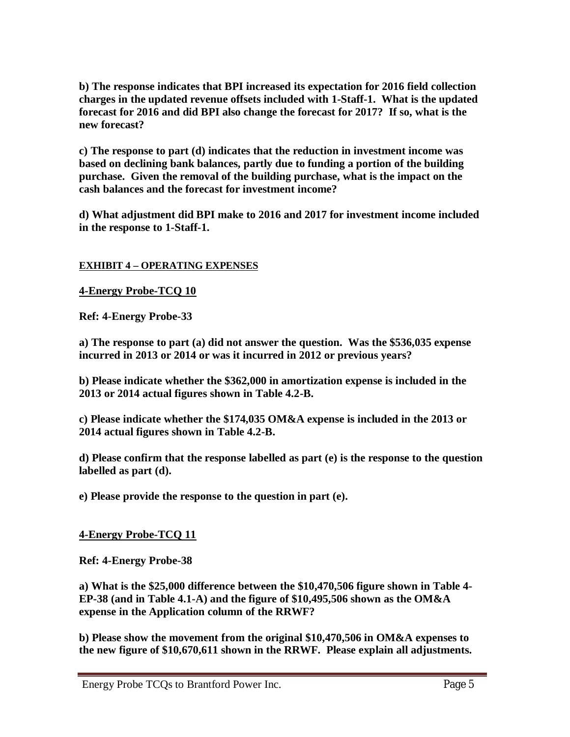**b) The response indicates that BPI increased its expectation for 2016 field collection charges in the updated revenue offsets included with 1-Staff-1. What is the updated forecast for 2016 and did BPI also change the forecast for 2017? If so, what is the new forecast?**

**c) The response to part (d) indicates that the reduction in investment income was based on declining bank balances, partly due to funding a portion of the building purchase. Given the removal of the building purchase, what is the impact on the cash balances and the forecast for investment income?**

**d) What adjustment did BPI make to 2016 and 2017 for investment income included in the response to 1-Staff-1.**

## **EXHIBIT 4 – OPERATING EXPENSES**

**4-Energy Probe-TCQ 10**

**Ref: 4-Energy Probe-33**

**a) The response to part (a) did not answer the question. Was the \$536,035 expense incurred in 2013 or 2014 or was it incurred in 2012 or previous years?**

**b) Please indicate whether the \$362,000 in amortization expense is included in the 2013 or 2014 actual figures shown in Table 4.2-B.**

**c) Please indicate whether the \$174,035 OM&A expense is included in the 2013 or 2014 actual figures shown in Table 4.2-B.**

**d) Please confirm that the response labelled as part (e) is the response to the question labelled as part (d).**

**e) Please provide the response to the question in part (e).**

## **4-Energy Probe-TCQ 11**

**Ref: 4-Energy Probe-38**

**a) What is the \$25,000 difference between the \$10,470,506 figure shown in Table 4- EP-38 (and in Table 4.1-A) and the figure of \$10,495,506 shown as the OM&A expense in the Application column of the RRWF?**

**b) Please show the movement from the original \$10,470,506 in OM&A expenses to the new figure of \$10,670,611 shown in the RRWF. Please explain all adjustments.**